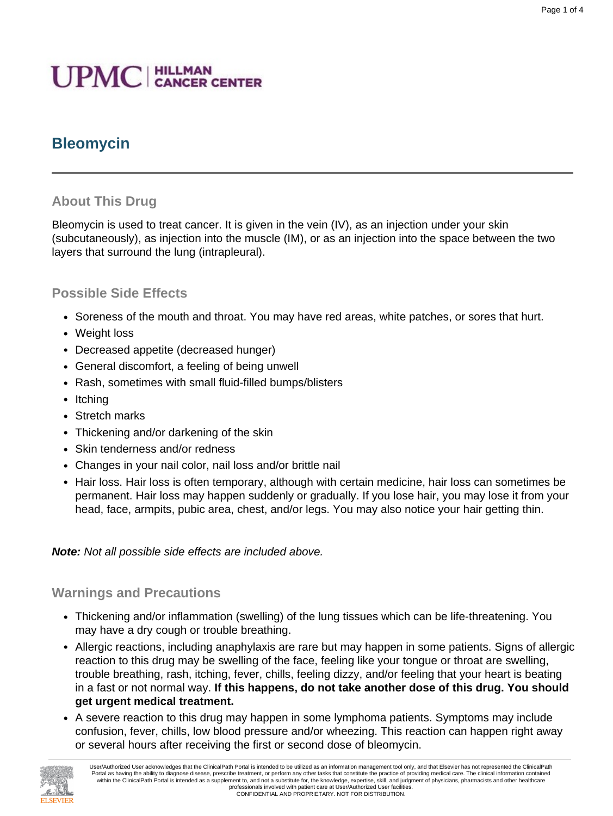# **UPMC** | HILLMAN

# **Bleomycin**

### **About This Drug**

Bleomycin is used to treat cancer. It is given in the vein (IV), as an injection under your skin (subcutaneously), as injection into the muscle (IM), or as an injection into the space between the two layers that surround the lung (intrapleural).

#### **Possible Side Effects**

- Soreness of the mouth and throat. You may have red areas, white patches, or sores that hurt.
- Weight loss
- Decreased appetite (decreased hunger)
- General discomfort, a feeling of being unwell
- Rash, sometimes with small fluid-filled bumps/blisters
- Itching
- Stretch marks
- Thickening and/or darkening of the skin
- Skin tenderness and/or redness
- Changes in your nail color, nail loss and/or brittle nail
- Hair loss. Hair loss is often temporary, although with certain medicine, hair loss can sometimes be permanent. Hair loss may happen suddenly or gradually. If you lose hair, you may lose it from your head, face, armpits, pubic area, chest, and/or legs. You may also notice your hair getting thin.

**Note:** Not all possible side effects are included above.

#### **Warnings and Precautions**

- Thickening and/or inflammation (swelling) of the lung tissues which can be life-threatening. You may have a dry cough or trouble breathing.
- Allergic reactions, including anaphylaxis are rare but may happen in some patients. Signs of allergic reaction to this drug may be swelling of the face, feeling like your tongue or throat are swelling, trouble breathing, rash, itching, fever, chills, feeling dizzy, and/or feeling that your heart is beating in a fast or not normal way. **If this happens, do not take another dose of this drug. You should get urgent medical treatment.**
- A severe reaction to this drug may happen in some lymphoma patients. Symptoms may include confusion, fever, chills, low blood pressure and/or wheezing. This reaction can happen right away or several hours after receiving the first or second dose of bleomycin.

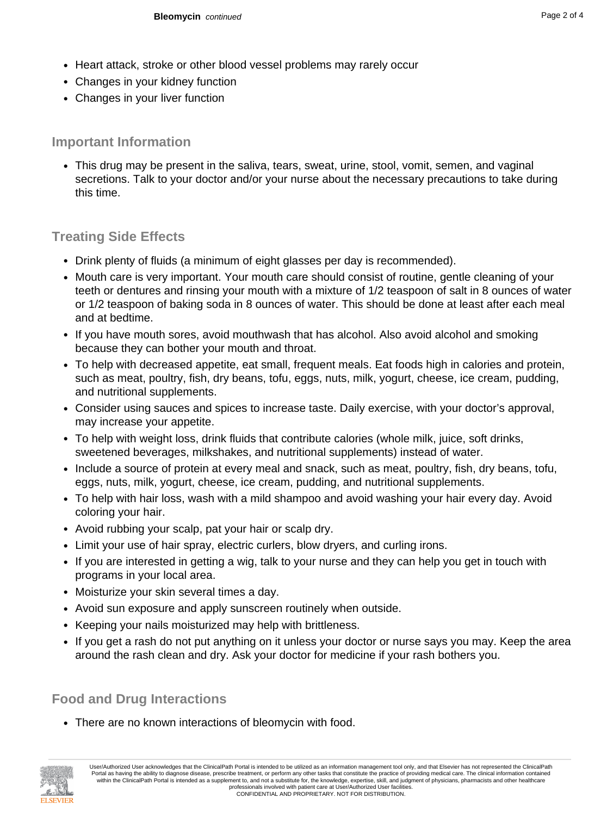- Heart attack, stroke or other blood vessel problems may rarely occur
- Changes in your kidney function
- Changes in your liver function

## **Important Information**

• This drug may be present in the saliva, tears, sweat, urine, stool, vomit, semen, and vaginal secretions. Talk to your doctor and/or your nurse about the necessary precautions to take during this time.

# **Treating Side Effects**

- Drink plenty of fluids (a minimum of eight glasses per day is recommended).
- Mouth care is very important. Your mouth care should consist of routine, gentle cleaning of your teeth or dentures and rinsing your mouth with a mixture of 1/2 teaspoon of salt in 8 ounces of water or 1/2 teaspoon of baking soda in 8 ounces of water. This should be done at least after each meal and at bedtime.
- If you have mouth sores, avoid mouthwash that has alcohol. Also avoid alcohol and smoking because they can bother your mouth and throat.
- To help with decreased appetite, eat small, frequent meals. Eat foods high in calories and protein, such as meat, poultry, fish, dry beans, tofu, eggs, nuts, milk, yogurt, cheese, ice cream, pudding, and nutritional supplements.
- Consider using sauces and spices to increase taste. Daily exercise, with your doctor's approval, may increase your appetite.
- To help with weight loss, drink fluids that contribute calories (whole milk, juice, soft drinks, sweetened beverages, milkshakes, and nutritional supplements) instead of water.
- Include a source of protein at every meal and snack, such as meat, poultry, fish, dry beans, tofu, eggs, nuts, milk, yogurt, cheese, ice cream, pudding, and nutritional supplements.
- To help with hair loss, wash with a mild shampoo and avoid washing your hair every day. Avoid coloring your hair.
- Avoid rubbing your scalp, pat your hair or scalp dry.
- Limit your use of hair spray, electric curlers, blow dryers, and curling irons.
- If you are interested in getting a wig, talk to your nurse and they can help you get in touch with programs in your local area.
- Moisturize your skin several times a day.
- Avoid sun exposure and apply sunscreen routinely when outside.
- Keeping your nails moisturized may help with brittleness.
- If you get a rash do not put anything on it unless your doctor or nurse says you may. Keep the area around the rash clean and dry. Ask your doctor for medicine if your rash bothers you.

# **Food and Drug Interactions**

• There are no known interactions of bleomycin with food.

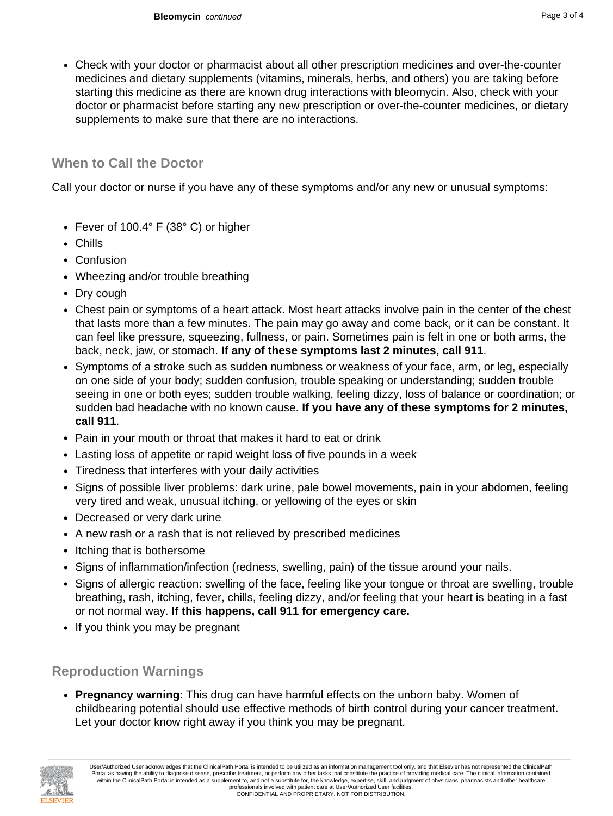• Check with your doctor or pharmacist about all other prescription medicines and over-the-counter medicines and dietary supplements (vitamins, minerals, herbs, and others) you are taking before starting this medicine as there are known drug interactions with bleomycin. Also, check with your doctor or pharmacist before starting any new prescription or over-the-counter medicines, or dietary supplements to make sure that there are no interactions.

### **When to Call the Doctor**

Call your doctor or nurse if you have any of these symptoms and/or any new or unusual symptoms:

- Fever of 100.4° F (38° C) or higher
- Chills
- Confusion
- Wheezing and/or trouble breathing
- Dry cough
- Chest pain or symptoms of a heart attack. Most heart attacks involve pain in the center of the chest that lasts more than a few minutes. The pain may go away and come back, or it can be constant. It can feel like pressure, squeezing, fullness, or pain. Sometimes pain is felt in one or both arms, the back, neck, jaw, or stomach. **If any of these symptoms last 2 minutes, call 911**.
- Symptoms of a stroke such as sudden numbness or weakness of your face, arm, or leg, especially on one side of your body; sudden confusion, trouble speaking or understanding; sudden trouble seeing in one or both eyes; sudden trouble walking, feeling dizzy, loss of balance or coordination; or sudden bad headache with no known cause. **If you have any of these symptoms for 2 minutes, call 911**.
- Pain in your mouth or throat that makes it hard to eat or drink
- Lasting loss of appetite or rapid weight loss of five pounds in a week
- Tiredness that interferes with your daily activities
- Signs of possible liver problems: dark urine, pale bowel movements, pain in your abdomen, feeling very tired and weak, unusual itching, or yellowing of the eyes or skin
- Decreased or very dark urine
- A new rash or a rash that is not relieved by prescribed medicines
- Itching that is bothersome
- Signs of inflammation/infection (redness, swelling, pain) of the tissue around your nails.
- Signs of allergic reaction: swelling of the face, feeling like your tongue or throat are swelling, trouble breathing, rash, itching, fever, chills, feeling dizzy, and/or feeling that your heart is beating in a fast or not normal way. **If this happens, call 911 for emergency care.**
- If you think you may be pregnant

### **Reproduction Warnings**

• **Pregnancy warning**: This drug can have harmful effects on the unborn baby. Women of childbearing potential should use effective methods of birth control during your cancer treatment. Let your doctor know right away if you think you may be pregnant.